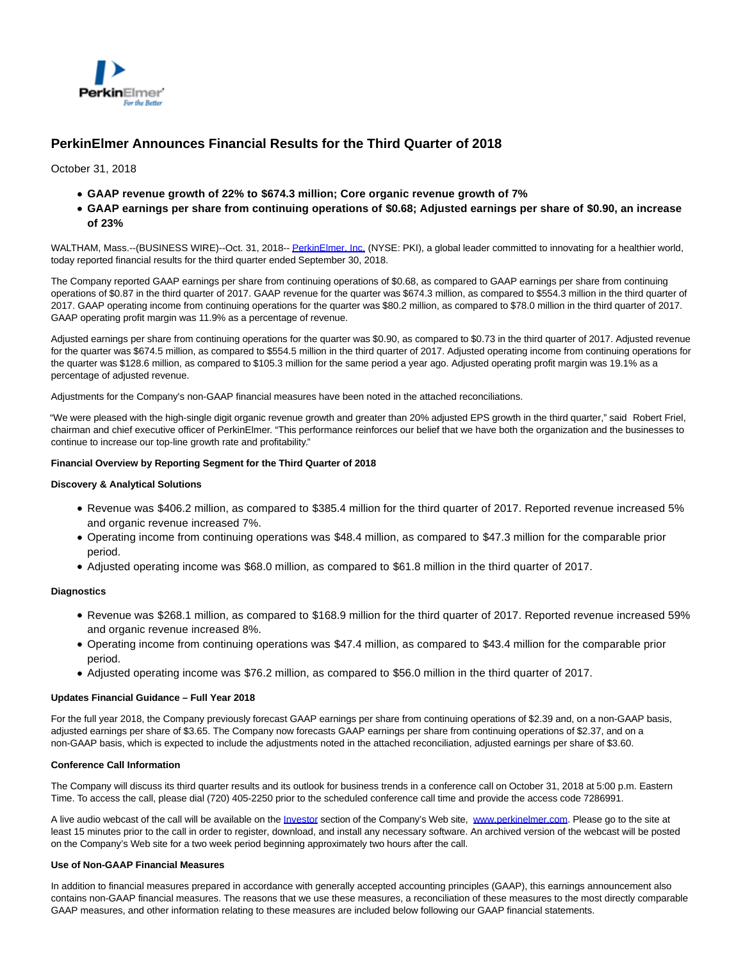

# **PerkinElmer Announces Financial Results for the Third Quarter of 2018**

October 31, 2018

- **GAAP revenue growth of 22% to \$674.3 million; Core organic revenue growth of 7%**
- **GAAP earnings per share from continuing operations of \$0.68; Adjusted earnings per share of \$0.90, an increase of 23%**

WALTHAM, Mass.--(BUSINESS WIRE)--Oct. 31, 2018-- [PerkinElmer, Inc. \(](http://cts.businesswire.com/ct/CT?id=smartlink&url=http%3A%2F%2Fwww.perkinelmer.com&esheet=51892015&newsitemid=20181031005777&lan=en-US&anchor=PerkinElmer%2C+Inc.&index=1&md5=9e62339982341a79f9ccf03c3f6d076a)NYSE: PKI), a global leader committed to innovating for a healthier world, today reported financial results for the third quarter ended September 30, 2018.

The Company reported GAAP earnings per share from continuing operations of \$0.68, as compared to GAAP earnings per share from continuing operations of \$0.87 in the third quarter of 2017. GAAP revenue for the quarter was \$674.3 million, as compared to \$554.3 million in the third quarter of 2017. GAAP operating income from continuing operations for the quarter was \$80.2 million, as compared to \$78.0 million in the third quarter of 2017. GAAP operating profit margin was 11.9% as a percentage of revenue.

Adjusted earnings per share from continuing operations for the quarter was \$0.90, as compared to \$0.73 in the third quarter of 2017. Adjusted revenue for the quarter was \$674.5 million, as compared to \$554.5 million in the third quarter of 2017. Adjusted operating income from continuing operations for the quarter was \$128.6 million, as compared to \$105.3 million for the same period a year ago. Adjusted operating profit margin was 19.1% as a percentage of adjusted revenue.

Adjustments for the Company's non-GAAP financial measures have been noted in the attached reconciliations.

"We were pleased with the high-single digit organic revenue growth and greater than 20% adjusted EPS growth in the third quarter," said Robert Friel, chairman and chief executive officer of PerkinElmer. "This performance reinforces our belief that we have both the organization and the businesses to continue to increase our top-line growth rate and profitability."

### **Financial Overview by Reporting Segment for the Third Quarter of 2018**

### **Discovery & Analytical Solutions**

- Revenue was \$406.2 million, as compared to \$385.4 million for the third quarter of 2017. Reported revenue increased 5% and organic revenue increased 7%.
- Operating income from continuing operations was \$48.4 million, as compared to \$47.3 million for the comparable prior period.
- Adjusted operating income was \$68.0 million, as compared to \$61.8 million in the third quarter of 2017.

### **Diagnostics**

- Revenue was \$268.1 million, as compared to \$168.9 million for the third quarter of 2017. Reported revenue increased 59% and organic revenue increased 8%.
- Operating income from continuing operations was \$47.4 million, as compared to \$43.4 million for the comparable prior period.
- Adjusted operating income was \$76.2 million, as compared to \$56.0 million in the third quarter of 2017.

#### **Updates Financial Guidance – Full Year 2018**

For the full year 2018, the Company previously forecast GAAP earnings per share from continuing operations of \$2.39 and, on a non-GAAP basis, adjusted earnings per share of \$3.65. The Company now forecasts GAAP earnings per share from continuing operations of \$2.37, and on a non-GAAP basis, which is expected to include the adjustments noted in the attached reconciliation, adjusted earnings per share of \$3.60.

### **Conference Call Information**

The Company will discuss its third quarter results and its outlook for business trends in a conference call on October 31, 2018 at 5:00 p.m. Eastern Time. To access the call, please dial (720) 405-2250 prior to the scheduled conference call time and provide the access code 7286991.

A live audio webcast of the call will be available on the [Investor s](http://cts.businesswire.com/ct/CT?id=smartlink&url=http%3A%2F%2Fwww.perkinelmer.com%2Fcorporate%2Finvestors%2F&esheet=51892015&newsitemid=20181031005777&lan=en-US&anchor=Investor&index=2&md5=260d748d2f14751ffcc924c3ed694011)ection of the Company's Web site, [www.perkinelmer.com.](http://cts.businesswire.com/ct/CT?id=smartlink&url=http%3A%2F%2Fwww.perkinelmer.com&esheet=51892015&newsitemid=20181031005777&lan=en-US&anchor=www.perkinelmer.com&index=3&md5=469a9dbdd2c9e08660dcbdd4d4110159) Please go to the site at least 15 minutes prior to the call in order to register, download, and install any necessary software. An archived version of the webcast will be posted on the Company's Web site for a two week period beginning approximately two hours after the call.

#### **Use of Non-GAAP Financial Measures**

In addition to financial measures prepared in accordance with generally accepted accounting principles (GAAP), this earnings announcement also contains non-GAAP financial measures. The reasons that we use these measures, a reconciliation of these measures to the most directly comparable GAAP measures, and other information relating to these measures are included below following our GAAP financial statements.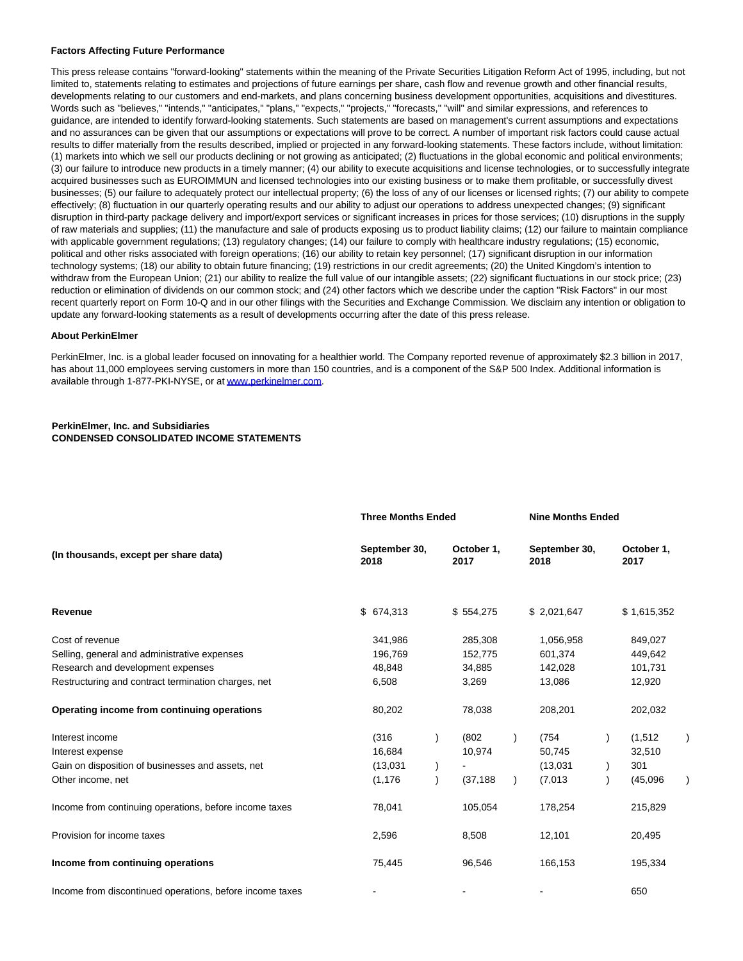#### **Factors Affecting Future Performance**

This press release contains "forward-looking" statements within the meaning of the Private Securities Litigation Reform Act of 1995, including, but not limited to, statements relating to estimates and projections of future earnings per share, cash flow and revenue growth and other financial results, developments relating to our customers and end-markets, and plans concerning business development opportunities, acquisitions and divestitures. Words such as "believes," "intends," "anticipates," "plans," "expects," "projects," "forecasts," "will" and similar expressions, and references to guidance, are intended to identify forward-looking statements. Such statements are based on management's current assumptions and expectations and no assurances can be given that our assumptions or expectations will prove to be correct. A number of important risk factors could cause actual results to differ materially from the results described, implied or projected in any forward-looking statements. These factors include, without limitation: (1) markets into which we sell our products declining or not growing as anticipated; (2) fluctuations in the global economic and political environments; (3) our failure to introduce new products in a timely manner; (4) our ability to execute acquisitions and license technologies, or to successfully integrate acquired businesses such as EUROIMMUN and licensed technologies into our existing business or to make them profitable, or successfully divest businesses; (5) our failure to adequately protect our intellectual property; (6) the loss of any of our licenses or licensed rights; (7) our ability to compete effectively; (8) fluctuation in our quarterly operating results and our ability to adjust our operations to address unexpected changes; (9) significant disruption in third-party package delivery and import/export services or significant increases in prices for those services; (10) disruptions in the supply of raw materials and supplies; (11) the manufacture and sale of products exposing us to product liability claims; (12) our failure to maintain compliance with applicable government regulations; (13) regulatory changes; (14) our failure to comply with healthcare industry regulations; (15) economic, political and other risks associated with foreign operations; (16) our ability to retain key personnel; (17) significant disruption in our information technology systems; (18) our ability to obtain future financing; (19) restrictions in our credit agreements; (20) the United Kingdom's intention to withdraw from the European Union; (21) our ability to realize the full value of our intangible assets; (22) significant fluctuations in our stock price; (23) reduction or elimination of dividends on our common stock; and (24) other factors which we describe under the caption "Risk Factors" in our most recent quarterly report on Form 10-Q and in our other filings with the Securities and Exchange Commission. We disclaim any intention or obligation to update any forward-looking statements as a result of developments occurring after the date of this press release.

#### **About PerkinElmer**

PerkinElmer, Inc. is a global leader focused on innovating for a healthier world. The Company reported revenue of approximately \$2.3 billion in 2017, has about 11,000 employees serving customers in more than 150 countries, and is a component of the S&P 500 Index. Additional information is available through 1-877-PKI-NYSE, or a[t www.perkinelmer.com.](http://cts.businesswire.com/ct/CT?id=smartlink&url=http%3A%2F%2Fwww.perkinelmer.com&esheet=51892015&newsitemid=20181031005777&lan=en-US&anchor=www.perkinelmer.com&index=4&md5=24704addb5334a7a6712487e2049488f)

### **PerkinElmer, Inc. and Subsidiaries CONDENSED CONSOLIDATED INCOME STATEMENTS**

|                                                          | <b>Three Months Ended</b> |               | <b>Nine Months Ended</b> |                       |  |                    |  |
|----------------------------------------------------------|---------------------------|---------------|--------------------------|-----------------------|--|--------------------|--|
| (In thousands, except per share data)                    | 2018                      | September 30, |                          | September 30,<br>2018 |  | October 1,<br>2017 |  |
| Revenue                                                  | \$674,313                 |               | \$554,275                | \$2,021,647           |  | \$1,615,352        |  |
| Cost of revenue                                          | 341,986                   |               | 285,308                  | 1,056,958             |  | 849,027            |  |
| Selling, general and administrative expenses             | 196,769                   |               | 152,775                  | 601,374               |  | 449,642            |  |
| Research and development expenses                        | 48,848                    |               | 34,885                   | 142,028               |  | 101,731            |  |
| Restructuring and contract termination charges, net      | 6,508                     |               | 3,269                    | 13,086                |  | 12,920             |  |
| Operating income from continuing operations              | 80,202                    |               | 78,038                   | 208,201               |  | 202,032            |  |
| Interest income                                          | (316)                     |               | (802)                    | (754)                 |  | (1, 512)           |  |
| Interest expense                                         | 16,684                    |               | 10,974                   | 50,745                |  | 32,510             |  |
| Gain on disposition of businesses and assets, net        | (13,031)                  |               |                          | (13,031)              |  | 301                |  |
| Other income, net                                        | (1, 176)                  |               | (37, 188)                | (7,013)               |  | (45,096)           |  |
| Income from continuing operations, before income taxes   | 78,041                    |               | 105,054                  | 178,254               |  | 215,829            |  |
| Provision for income taxes                               | 2,596                     |               | 8,508                    | 12,101                |  | 20,495             |  |
| Income from continuing operations                        | 75,445                    |               | 96,546                   | 166,153               |  | 195,334            |  |
| Income from discontinued operations, before income taxes |                           |               |                          |                       |  | 650                |  |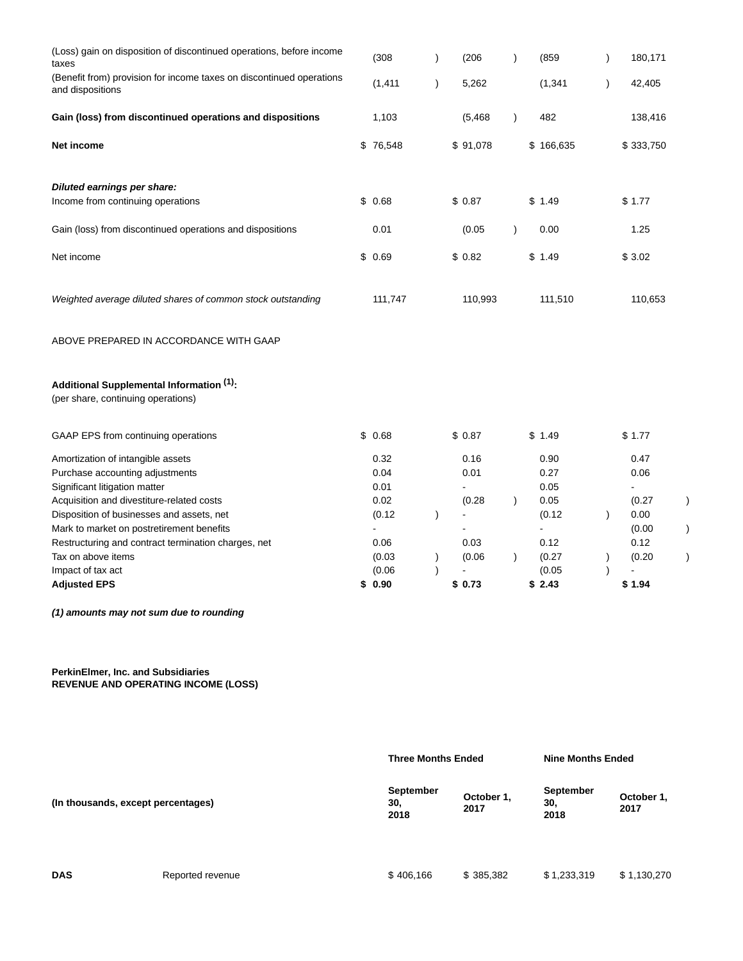| (Loss) gain on disposition of discontinued operations, before income<br>taxes            | (308)    | $\lambda$ | (206)    | $\lambda$ | (859      |               | 180,171                 |
|------------------------------------------------------------------------------------------|----------|-----------|----------|-----------|-----------|---------------|-------------------------|
| (Benefit from) provision for income taxes on discontinued operations<br>and dispositions | (1, 411) | $\lambda$ | 5,262    |           | (1, 341)  | $\lambda$     | 42,405                  |
| Gain (loss) from discontinued operations and dispositions                                | 1,103    |           | (5, 468) | $\lambda$ | 482       |               | 138,416                 |
| Net income                                                                               | \$76,548 |           | \$91,078 |           | \$166,635 |               | \$333,750               |
| Diluted earnings per share:                                                              |          |           |          |           |           |               |                         |
| Income from continuing operations                                                        | \$0.68   |           | \$0.87   |           | \$1.49    |               | \$1.77                  |
| Gain (loss) from discontinued operations and dispositions                                | 0.01     |           | (0.05)   | $\lambda$ | 0.00      |               | 1.25                    |
| Net income                                                                               | \$0.69   |           | \$0.82   |           | \$1.49    |               | \$3.02                  |
| Weighted average diluted shares of common stock outstanding                              | 111,747  |           | 110,993  |           | 111,510   |               | 110,653                 |
| ABOVE PREPARED IN ACCORDANCE WITH GAAP                                                   |          |           |          |           |           |               |                         |
| Additional Supplemental Information (1):<br>(per share, continuing operations)           |          |           |          |           |           |               |                         |
| GAAP EPS from continuing operations                                                      | \$0.68   |           | \$0.87   |           | \$1.49    |               | \$1.77                  |
| Amortization of intangible assets                                                        | 0.32     |           | 0.16     |           | 0.90      |               | 0.47                    |
| Purchase accounting adjustments                                                          | 0.04     |           | 0.01     |           | 0.27      |               | 0.06                    |
| Significant litigation matter                                                            | 0.01     |           |          |           | 0.05      |               | $\blacksquare$          |
| Acquisition and divestiture-related costs                                                | 0.02     |           | (0.28)   | $\lambda$ | 0.05      |               | (0.27)<br>$\mathcal{E}$ |
| Disposition of businesses and assets, net                                                | (0.12)   | $\lambda$ |          |           | (0.12)    | $\lambda$     | 0.00                    |
| Mark to market on postretirement benefits                                                | ä,       |           |          |           |           |               | (0.00)                  |
| Restructuring and contract termination charges, net                                      | 0.06     |           | 0.03     |           | 0.12      |               | 0.12                    |
| Tax on above items                                                                       | (0.03)   | $\lambda$ | (0.06)   | $\lambda$ | (0.27)    | $\mathcal{E}$ | (0.20)                  |
| Impact of tax act                                                                        | (0.06)   |           |          |           | (0.05)    |               |                         |
| <b>Adjusted EPS</b>                                                                      | \$0.90   |           | \$0.73   |           | \$2.43    |               | \$1.94                  |

**(1) amounts may not sum due to rounding**

**PerkinElmer, Inc. and Subsidiaries REVENUE AND OPERATING INCOME (LOSS)**

|                                    |                  | <b>Three Months Ended</b>                             |           | <b>Nine Months Ended</b> |                    |  |  |
|------------------------------------|------------------|-------------------------------------------------------|-----------|--------------------------|--------------------|--|--|
| (In thousands, except percentages) |                  | September<br>October 1,<br>30.<br>30,<br>2017<br>2018 |           | September<br>2018        | October 1,<br>2017 |  |  |
| <b>DAS</b>                         | Reported revenue | \$406,166                                             | \$385,382 | \$1,233,319              | \$1,130,270        |  |  |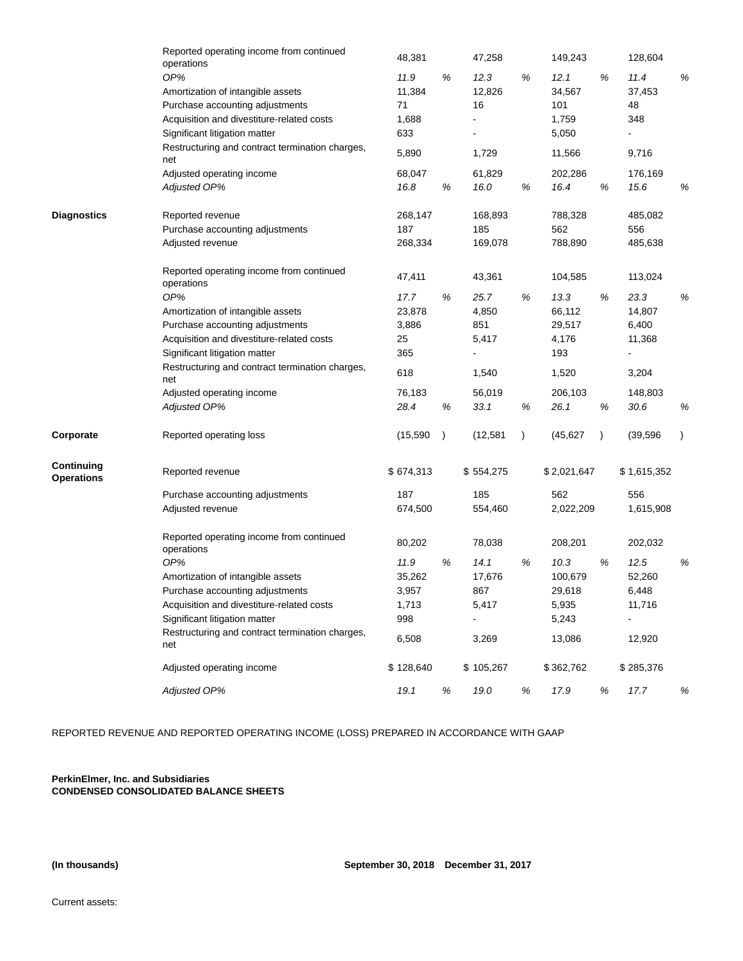|                                 | Reported operating income from continued<br>operations | 48,381    |           | 47,258    |           | 149,243     |           | 128,604        |           |
|---------------------------------|--------------------------------------------------------|-----------|-----------|-----------|-----------|-------------|-----------|----------------|-----------|
|                                 | OP%                                                    | 11.9      | $\%$      | 12.3      | %         | 12.1        | %         | 11.4           | %         |
|                                 | Amortization of intangible assets                      | 11,384    |           | 12,826    |           | 34,567      |           | 37,453         |           |
|                                 | Purchase accounting adjustments                        | 71        |           | 16        |           | 101         |           | 48             |           |
|                                 | Acquisition and divestiture-related costs              | 1,688     |           |           |           | 1,759       |           | 348            |           |
|                                 | Significant litigation matter                          | 633       |           |           |           | 5,050       |           |                |           |
|                                 | Restructuring and contract termination charges,<br>net | 5,890     |           | 1,729     |           | 11,566      |           | 9,716          |           |
|                                 | Adjusted operating income                              | 68,047    |           | 61,829    |           | 202,286     |           | 176,169        |           |
|                                 | Adjusted OP%                                           | 16.8      | $\%$      | 16.0      | %         | 16.4        | $\%$      | 15.6           | $\%$      |
| <b>Diagnostics</b>              | Reported revenue                                       | 268,147   |           | 168,893   |           | 788,328     |           | 485,082        |           |
|                                 | Purchase accounting adjustments                        | 187       |           | 185       |           | 562         |           | 556            |           |
|                                 | Adjusted revenue                                       | 268,334   |           | 169,078   |           | 788,890     |           | 485,638        |           |
|                                 | Reported operating income from continued<br>operations | 47,411    |           | 43,361    |           | 104,585     |           | 113,024        |           |
|                                 | OP%                                                    | 17.7      | %         | 25.7      | %         | 13.3        | %         | 23.3           | %         |
|                                 | Amortization of intangible assets                      | 23,878    |           | 4,850     |           | 66,112      |           | 14,807         |           |
|                                 | Purchase accounting adjustments                        | 3,886     |           | 851       |           | 29,517      |           | 6,400          |           |
|                                 | Acquisition and divestiture-related costs              | 25        |           | 5,417     |           | 4,176       |           | 11,368         |           |
|                                 | Significant litigation matter                          | 365       |           |           |           | 193         |           |                |           |
|                                 | Restructuring and contract termination charges,<br>net | 618       |           | 1,540     |           | 1,520       |           | 3,204          |           |
|                                 | Adjusted operating income                              | 76,183    |           | 56,019    |           | 206,103     |           | 148,803        |           |
|                                 | Adjusted OP%                                           | 28.4      | $\%$      | 33.1      | %         | 26.1        | %         | 30.6           | %         |
| Corporate                       | Reported operating loss                                | (15,590)  | $\lambda$ | (12, 581) | $\lambda$ | (45, 627)   | $\lambda$ | (39, 596)      | $\lambda$ |
| Continuing<br><b>Operations</b> | Reported revenue                                       | \$674,313 |           | \$554,275 |           | \$2,021,647 |           | \$1,615,352    |           |
|                                 | Purchase accounting adjustments                        | 187       |           | 185       |           | 562         |           | 556            |           |
|                                 | Adjusted revenue                                       | 674,500   |           | 554,460   |           | 2,022,209   |           | 1,615,908      |           |
|                                 | Reported operating income from continued<br>operations | 80,202    |           | 78,038    |           | 208,201     |           | 202,032        |           |
|                                 | OP%                                                    | 11.9      | %         | 14.1      | %         | 10.3        | %         | 12.5           | $\%$      |
|                                 | Amortization of intangible assets                      | 35,262    |           | 17,676    |           | 100,679     |           | 52,260         |           |
|                                 | Purchase accounting adjustments                        | 3,957     |           | 867       |           | 29,618      |           | 6,448          |           |
|                                 | Acquisition and divestiture-related costs              | 1,713     |           | 5,417     |           | 5,935       |           | 11,716         |           |
|                                 | Significant litigation matter                          | 998       |           |           |           | 5,243       |           | $\overline{a}$ |           |
|                                 | Restructuring and contract termination charges,<br>net | 6,508     |           | 3,269     |           | 13,086      |           | 12,920         |           |
|                                 | Adjusted operating income                              | \$128,640 |           | \$105,267 |           | \$362,762   |           | \$285,376      |           |
|                                 | <b>Adjusted OP%</b>                                    | 19.1      | %         | 19.0      | %         | 17.9        | %         | 17.7           | %         |

REPORTED REVENUE AND REPORTED OPERATING INCOME (LOSS) PREPARED IN ACCORDANCE WITH GAAP

**PerkinElmer, Inc. and Subsidiaries CONDENSED CONSOLIDATED BALANCE SHEETS**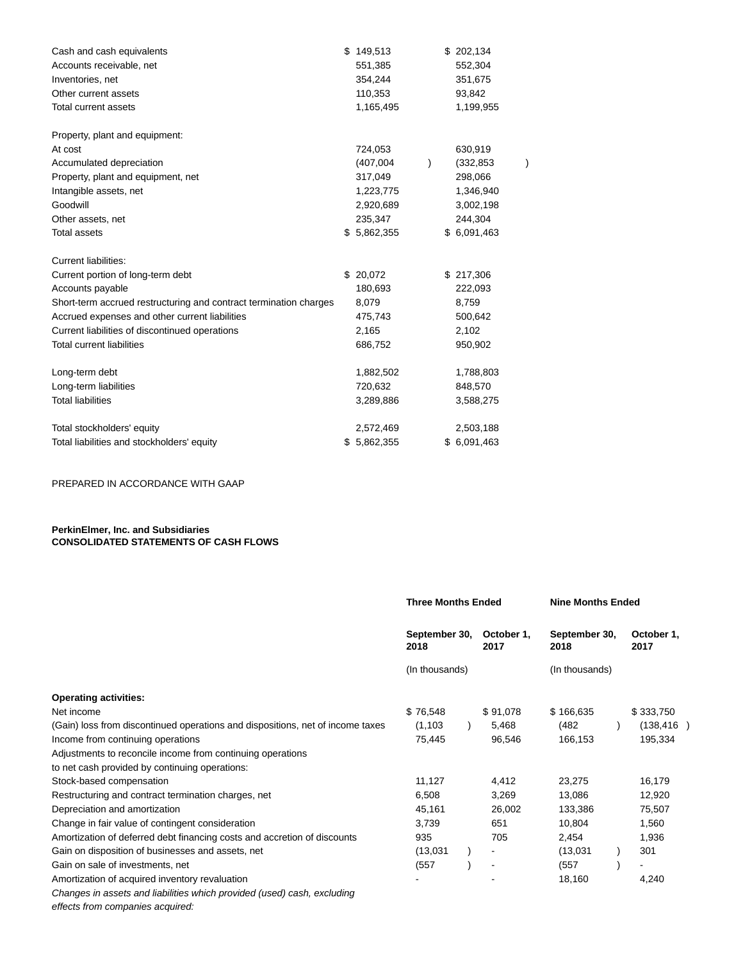| Cash and cash equivalents                                         | \$<br>149,513 |               | \$202,134   |  |
|-------------------------------------------------------------------|---------------|---------------|-------------|--|
| Accounts receivable, net                                          | 551,385       |               | 552,304     |  |
| Inventories, net                                                  | 354,244       |               | 351,675     |  |
| Other current assets                                              | 110,353       |               | 93,842      |  |
| Total current assets                                              | 1,165,495     |               | 1,199,955   |  |
| Property, plant and equipment:                                    |               |               |             |  |
| At cost                                                           | 724,053       |               | 630,919     |  |
| Accumulated depreciation                                          | (407,004)     | $\mathcal{E}$ | (332, 853)  |  |
| Property, plant and equipment, net                                | 317,049       |               | 298,066     |  |
| Intangible assets, net                                            | 1,223,775     |               | 1,346,940   |  |
| Goodwill                                                          | 2,920,689     |               | 3,002,198   |  |
| Other assets, net                                                 | 235,347       |               | 244,304     |  |
| <b>Total assets</b>                                               | \$5,862,355   |               | \$6,091,463 |  |
| Current liabilities:                                              |               |               |             |  |
| Current portion of long-term debt                                 | \$20,072      |               | \$217,306   |  |
| Accounts payable                                                  | 180,693       |               | 222,093     |  |
| Short-term accrued restructuring and contract termination charges | 8,079         |               | 8,759       |  |
| Accrued expenses and other current liabilities                    | 475,743       |               | 500,642     |  |
| Current liabilities of discontinued operations                    | 2,165         |               | 2,102       |  |
| <b>Total current liabilities</b>                                  | 686,752       |               | 950,902     |  |
| Long-term debt                                                    | 1,882,502     |               | 1,788,803   |  |
| Long-term liabilities                                             | 720,632       |               | 848,570     |  |
| <b>Total liabilities</b>                                          | 3,289,886     |               | 3,588,275   |  |
| Total stockholders' equity                                        | 2,572,469     |               | 2,503,188   |  |
| Total liabilities and stockholders' equity                        | \$5,862,355   |               | \$6,091,463 |  |

PREPARED IN ACCORDANCE WITH GAAP

## **PerkinElmer, Inc. and Subsidiaries CONSOLIDATED STATEMENTS OF CASH FLOWS**

|                                                                                | <b>Three Months Ended</b>                                     |  |                          | <b>Nine Months Ended</b> |                    |                |  |
|--------------------------------------------------------------------------------|---------------------------------------------------------------|--|--------------------------|--------------------------|--------------------|----------------|--|
|                                                                                | September 30,<br>October 1,<br>2018<br>2017<br>(In thousands) |  | September 30,<br>2018    |                          | October 1,<br>2017 |                |  |
|                                                                                |                                                               |  |                          | (In thousands)           |                    |                |  |
| <b>Operating activities:</b>                                                   |                                                               |  |                          |                          |                    |                |  |
| Net income                                                                     | \$76,548                                                      |  | \$91,078                 | \$166,635                |                    | \$333,750      |  |
| (Gain) loss from discontinued operations and dispositions, net of income taxes | (1, 103)                                                      |  | 5,468                    | (482)                    |                    | (138, 416)     |  |
| Income from continuing operations                                              | 75,445                                                        |  | 96,546                   | 166,153                  |                    | 195,334        |  |
| Adjustments to reconcile income from continuing operations                     |                                                               |  |                          |                          |                    |                |  |
| to net cash provided by continuing operations:                                 |                                                               |  |                          |                          |                    |                |  |
| Stock-based compensation                                                       | 11,127                                                        |  | 4,412                    | 23,275                   |                    | 16,179         |  |
| Restructuring and contract termination charges, net                            | 6,508                                                         |  | 3,269                    | 13,086                   |                    | 12,920         |  |
| Depreciation and amortization                                                  | 45,161                                                        |  | 26,002                   | 133,386                  |                    | 75,507         |  |
| Change in fair value of contingent consideration                               | 3,739                                                         |  | 651                      | 10,804                   |                    | 1,560          |  |
| Amortization of deferred debt financing costs and accretion of discounts       | 935                                                           |  | 705                      | 2,454                    |                    | 1,936          |  |
| Gain on disposition of businesses and assets, net                              | (13,031)                                                      |  |                          | (13,031)                 |                    | 301            |  |
| Gain on sale of investments, net                                               | (557)                                                         |  | $\overline{\phantom{a}}$ | (557)                    |                    | $\blacksquare$ |  |
| Amortization of acquired inventory revaluation                                 |                                                               |  |                          | 18,160                   |                    | 4,240          |  |
| Changes in assets and liabilities which provided (used) cash, excluding        |                                                               |  |                          |                          |                    |                |  |

effects from companies acquired: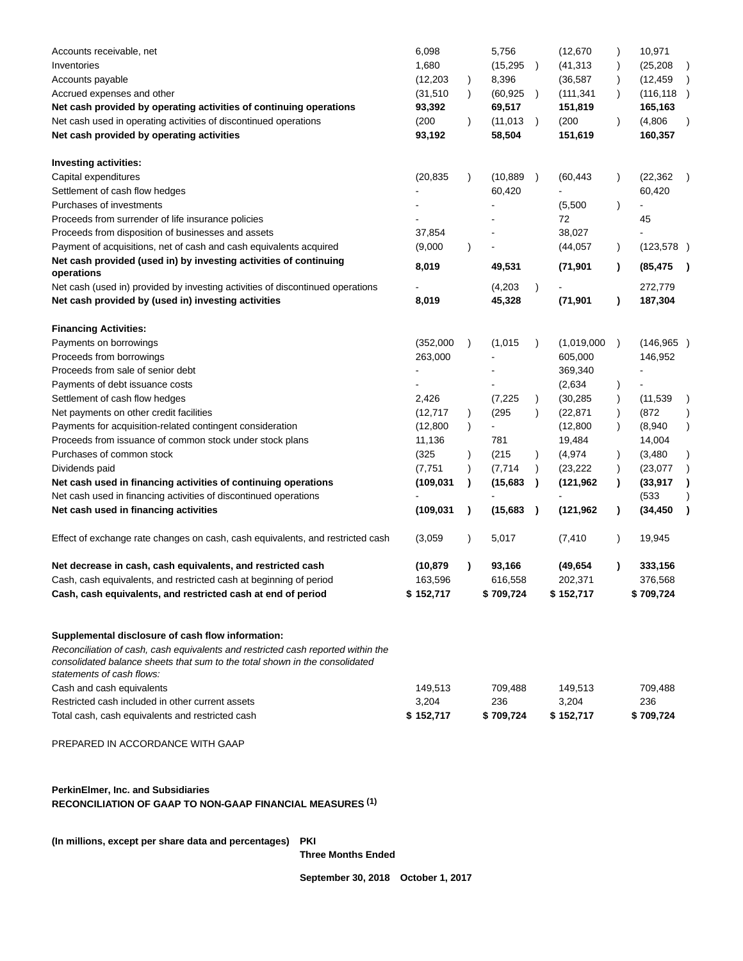| Accounts receivable, net                                                        | 6,098      |               | 5,756     |               | (12, 670)   | $\lambda$     | 10,971         |               |
|---------------------------------------------------------------------------------|------------|---------------|-----------|---------------|-------------|---------------|----------------|---------------|
| Inventories                                                                     | 1,680      |               | (15, 295) | $\rightarrow$ | (41, 313)   | $\lambda$     | (25, 208)      | $\lambda$     |
| Accounts payable                                                                | (12, 203)  | $\lambda$     | 8,396     |               | (36, 587)   | $\mathcal{E}$ | (12, 459)      |               |
| Accrued expenses and other                                                      | (31, 510)  | $\lambda$     | (60, 925) |               | (111, 341)  | $\lambda$     | (116, 118)     | $\rightarrow$ |
| Net cash provided by operating activities of continuing operations              | 93,392     |               | 69,517    |               | 151,819     |               | 165,163        |               |
| Net cash used in operating activities of discontinued operations                | (200)      | $\lambda$     | (11, 013) | $\rightarrow$ | (200)       | $\lambda$     | (4,806)        |               |
| Net cash provided by operating activities                                       | 93,192     |               | 58,504    |               | 151,619     |               | 160,357        |               |
| <b>Investing activities:</b>                                                    |            |               |           |               |             |               |                |               |
| Capital expenditures                                                            | (20, 835)  | $\lambda$     | (10, 889) | $\rightarrow$ | (60, 443)   | $\lambda$     | (22, 362)      |               |
| Settlement of cash flow hedges                                                  |            |               | 60,420    |               |             |               | 60,420         |               |
| Purchases of investments                                                        |            |               |           |               | (5,500)     | $\lambda$     | ä,             |               |
| Proceeds from surrender of life insurance policies                              |            |               |           |               | 72          |               | 45             |               |
| Proceeds from disposition of businesses and assets                              | 37,854     |               |           |               | 38,027      |               |                |               |
| Payment of acquisitions, net of cash and cash equivalents acquired              | (9,000)    | $\mathcal{E}$ |           |               | (44, 057)   | $\mathcal{L}$ | (123, 578)     |               |
| Net cash provided (used in) by investing activities of continuing<br>operations | 8,019      |               | 49,531    |               | (71, 901)   | $\lambda$     | (85, 475)      |               |
| Net cash (used in) provided by investing activities of discontinued operations  |            |               | (4,203)   | $\lambda$     |             |               | 272,779        |               |
| Net cash provided by (used in) investing activities                             | 8,019      |               | 45,328    |               | (71, 901)   | $\lambda$     | 187,304        |               |
| <b>Financing Activities:</b>                                                    |            |               |           |               |             |               |                |               |
| Payments on borrowings                                                          | (352,000)  | $\lambda$     | (1,015)   | $\lambda$     | (1,019,000) | $\lambda$     | (146, 965)     |               |
| Proceeds from borrowings                                                        | 263,000    |               |           |               | 605,000     |               | 146,952        |               |
| Proceeds from sale of senior debt                                               |            |               |           |               | 369,340     |               |                |               |
| Payments of debt issuance costs                                                 |            |               |           |               | (2,634)     | $\lambda$     | $\blacksquare$ |               |
| Settlement of cash flow hedges                                                  | 2,426      |               | (7,225)   | $\lambda$     | (30, 285)   | $\lambda$     | (11, 539)      |               |
| Net payments on other credit facilities                                         | (12, 717)  | $\lambda$     | (295)     | $\lambda$     | (22, 871)   | $\mathcal{E}$ | (872)          |               |
| Payments for acquisition-related contingent consideration                       | (12,800)   | $\lambda$     |           |               | (12,800)    | $\lambda$     | (8,940)        | $\lambda$     |
| Proceeds from issuance of common stock under stock plans                        | 11,136     |               | 781       |               | 19,484      |               | 14,004         |               |
| Purchases of common stock                                                       | (325)      | $\lambda$     | (215)     | $\lambda$     | (4,974)     | $\mathcal{E}$ | (3,480)        | $\lambda$     |
| Dividends paid                                                                  | (7, 751)   |               | (7,714)   | $\lambda$     | (23, 222)   | $\lambda$     | (23,077)       |               |
| Net cash used in financing activities of continuing operations                  | (109, 031) | 1             | (15, 683) | $\lambda$     | (121, 962)  | $\lambda$     | (33, 917)      |               |
| Net cash used in financing activities of discontinued operations                |            |               |           |               |             |               | (533)          |               |
| Net cash used in financing activities                                           | (109, 031) | $\lambda$     | (15, 683) | $\rightarrow$ | (121, 962)  | $\lambda$     | (34, 450)      |               |
| Effect of exchange rate changes on cash, cash equivalents, and restricted cash  | (3,059)    | $\lambda$     | 5,017     |               | (7, 410)    | $\lambda$     | 19,945         |               |
| Net decrease in cash, cash equivalents, and restricted cash                     | (10,879    | $\lambda$     | 93,166    |               | (49,654     | $\lambda$     | 333,156        |               |
| Cash, cash equivalents, and restricted cash at beginning of period              | 163,596    |               | 616,558   |               | 202,371     |               | 376,568        |               |
|                                                                                 | \$152,717  |               | \$709,724 |               | \$152,717   |               | \$709,724      |               |

# **Supplemental disclosure of cash flow information:**

Reconciliation of cash, cash equivalents and restricted cash reported within the consolidated balance sheets that sum to the total shown in the consolidated statements of cash flows:

| Cash and cash equivalents                        | 149.513   | 709.488   | 149.513   | 709.488   |
|--------------------------------------------------|-----------|-----------|-----------|-----------|
| Restricted cash included in other current assets | 3.204     | 236       | 3.204     | 236       |
| Total cash, cash equivalents and restricted cash | \$152.717 | \$709.724 | \$152.717 | \$709.724 |

PREPARED IN ACCORDANCE WITH GAAP

# **PerkinElmer, Inc. and Subsidiaries RECONCILIATION OF GAAP TO NON-GAAP FINANCIAL MEASURES (1)**

**(In millions, except per share data and percentages) PKI**

**Three Months Ended**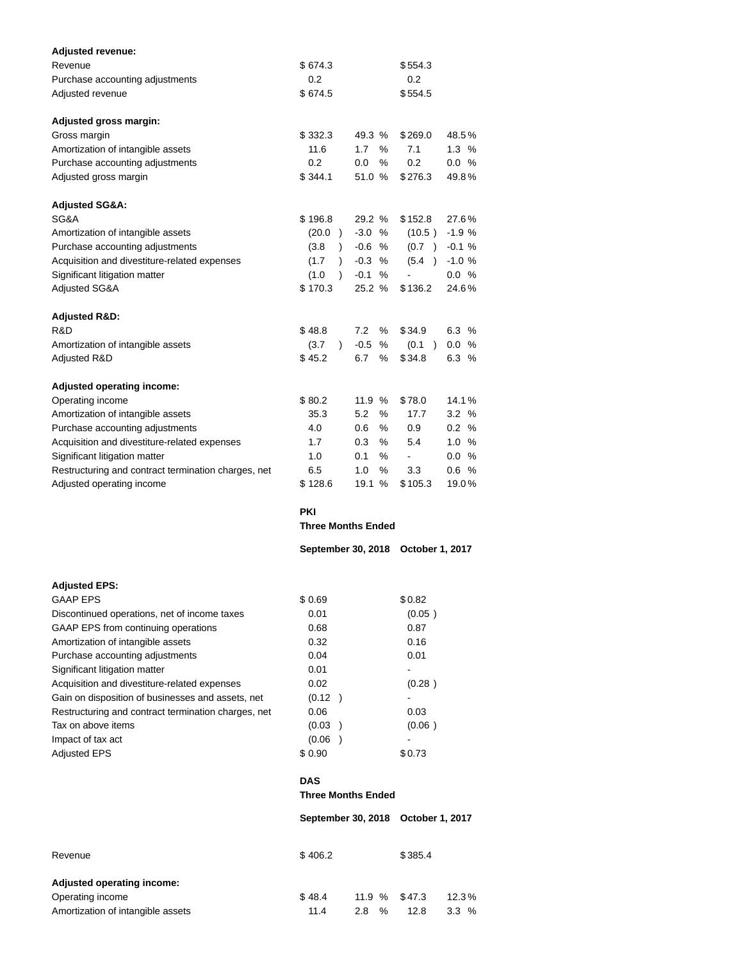| <b>Adjusted revenue:</b><br>Revenue                                                                      | \$674.3                           |                           | \$554.3                |                |  |  |  |  |  |
|----------------------------------------------------------------------------------------------------------|-----------------------------------|---------------------------|------------------------|----------------|--|--|--|--|--|
| Purchase accounting adjustments                                                                          | 0.2                               |                           | 0.2                    |                |  |  |  |  |  |
| Adjusted revenue                                                                                         | \$674.5                           |                           | \$554.5                |                |  |  |  |  |  |
| Adjusted gross margin:                                                                                   |                                   |                           |                        |                |  |  |  |  |  |
| Gross margin                                                                                             | \$332.3                           | 49.3 %                    | \$269.0                | 48.5%          |  |  |  |  |  |
| Amortization of intangible assets                                                                        | 11.6                              | 1.7<br>%                  | 7.1                    | $1.3\%$        |  |  |  |  |  |
| Purchase accounting adjustments                                                                          | 0.2                               | 0.0<br>℅                  | 0.2                    | 0.0 %          |  |  |  |  |  |
| Adjusted gross margin                                                                                    | \$344.1                           | 51.0 %                    | \$276.3                | 49.8%          |  |  |  |  |  |
| Adjusted SG&A:                                                                                           |                                   |                           |                        |                |  |  |  |  |  |
| SG&A                                                                                                     | \$196.8                           | 29.2 %                    | \$152.8                | 27.6%          |  |  |  |  |  |
| Amortization of intangible assets                                                                        | (20.0)                            | $-3.0%$                   | (10.5)                 | $-1.9%$        |  |  |  |  |  |
| Purchase accounting adjustments                                                                          | (3.8)<br>$\lambda$                | $-0.6$ %                  | (0.7)                  | $-0.1%$        |  |  |  |  |  |
| Acquisition and divestiture-related expenses                                                             | (1.7)<br>$\lambda$                | $-0.3$<br>%               | (5.4)                  | $-1.0%$        |  |  |  |  |  |
| Significant litigation matter<br>Adjusted SG&A                                                           | (1.0)<br>$\mathcal{L}$<br>\$170.3 | $-0.1%$<br>25.2 %         | \$136.2                | 0.0 %<br>24.6% |  |  |  |  |  |
|                                                                                                          |                                   |                           |                        |                |  |  |  |  |  |
| <b>Adjusted R&amp;D:</b><br>R&D                                                                          | \$48.8                            | 7.2<br>%                  | \$34.9                 | 6.3%           |  |  |  |  |  |
| Amortization of intangible assets                                                                        | (3.7)<br>$\mathcal{L}$            | $-0.5$<br>%               | (0.1)<br>$\lambda$     | 0.0 %          |  |  |  |  |  |
| Adjusted R&D                                                                                             | \$45.2                            | 6.7<br>%                  | \$34.8                 | 6.3%           |  |  |  |  |  |
|                                                                                                          |                                   |                           |                        |                |  |  |  |  |  |
| <b>Adjusted operating income:</b><br>Operating income                                                    | \$80.2                            | 11.9 %                    | \$78.0                 | 14.1%          |  |  |  |  |  |
| Amortization of intangible assets                                                                        | 35.3                              | 5.2<br>%                  | 17.7                   | 3.2%           |  |  |  |  |  |
| Purchase accounting adjustments                                                                          | 4.0                               | %<br>0.6                  | 0.9                    | 0.2 %          |  |  |  |  |  |
| Acquisition and divestiture-related expenses                                                             | 1.7                               | 0.3<br>%                  | 5.4                    | 1.0%           |  |  |  |  |  |
| Significant litigation matter                                                                            | 1.0                               | 0.1<br>%                  |                        | 0.0 %          |  |  |  |  |  |
| Restructuring and contract termination charges, net                                                      | 6.5                               | 1.0<br>%                  | 3.3                    | 0.6%           |  |  |  |  |  |
| Adjusted operating income                                                                                | \$128.6                           | 19.1 %                    | \$105.3                | 19.0%          |  |  |  |  |  |
|                                                                                                          | <b>PKI</b>                        |                           |                        |                |  |  |  |  |  |
|                                                                                                          | <b>Three Months Ended</b>         |                           |                        |                |  |  |  |  |  |
|                                                                                                          | September 30, 2018                |                           | <b>October 1, 2017</b> |                |  |  |  |  |  |
| <b>Adjusted EPS:</b>                                                                                     |                                   |                           |                        |                |  |  |  |  |  |
| <b>GAAP EPS</b>                                                                                          | \$ 0.69                           |                           | \$0.82                 |                |  |  |  |  |  |
| Discontinued operations, net of income taxes                                                             | 0.01                              |                           | (0.05)                 |                |  |  |  |  |  |
| GAAP EPS from continuing operations                                                                      | 0.68                              |                           | 0.87                   |                |  |  |  |  |  |
| Amortization of intangible assets                                                                        | 0.32                              |                           | 0.16                   |                |  |  |  |  |  |
| Purchase accounting adjustments                                                                          | 0.04                              |                           | 0.01                   |                |  |  |  |  |  |
| Significant litigation matter                                                                            | 0.01                              |                           |                        |                |  |  |  |  |  |
| Acquisition and divestiture-related expenses                                                             | 0.02                              |                           | (0.28)                 |                |  |  |  |  |  |
| Gain on disposition of businesses and assets, net<br>Restructuring and contract termination charges, net | (0.12)<br>0.06                    |                           | 0.03                   |                |  |  |  |  |  |
| Tax on above items                                                                                       | (0.03)<br>$\rightarrow$           |                           | (0.06)                 |                |  |  |  |  |  |
| Impact of tax act                                                                                        | (0.06)<br>$\rightarrow$           |                           |                        |                |  |  |  |  |  |
| Adjusted EPS                                                                                             | \$0.90                            |                           | \$0.73                 |                |  |  |  |  |  |
|                                                                                                          | <b>DAS</b>                        |                           |                        |                |  |  |  |  |  |
|                                                                                                          |                                   | <b>Three Months Ended</b> |                        |                |  |  |  |  |  |
|                                                                                                          | September 30, 2018                |                           | <b>October 1, 2017</b> |                |  |  |  |  |  |
| Revenue                                                                                                  | \$406.2                           |                           | \$385.4                |                |  |  |  |  |  |
|                                                                                                          |                                   |                           |                        |                |  |  |  |  |  |

| Adjusted operating income:        |        |                  |      |         |
|-----------------------------------|--------|------------------|------|---------|
| Operating income                  | \$48.4 | $11.9 \%$ \$47.3 |      | 12.3%   |
| Amortization of intangible assets | 11.4   | %<br>2.8         | 12.8 | $3.3\%$ |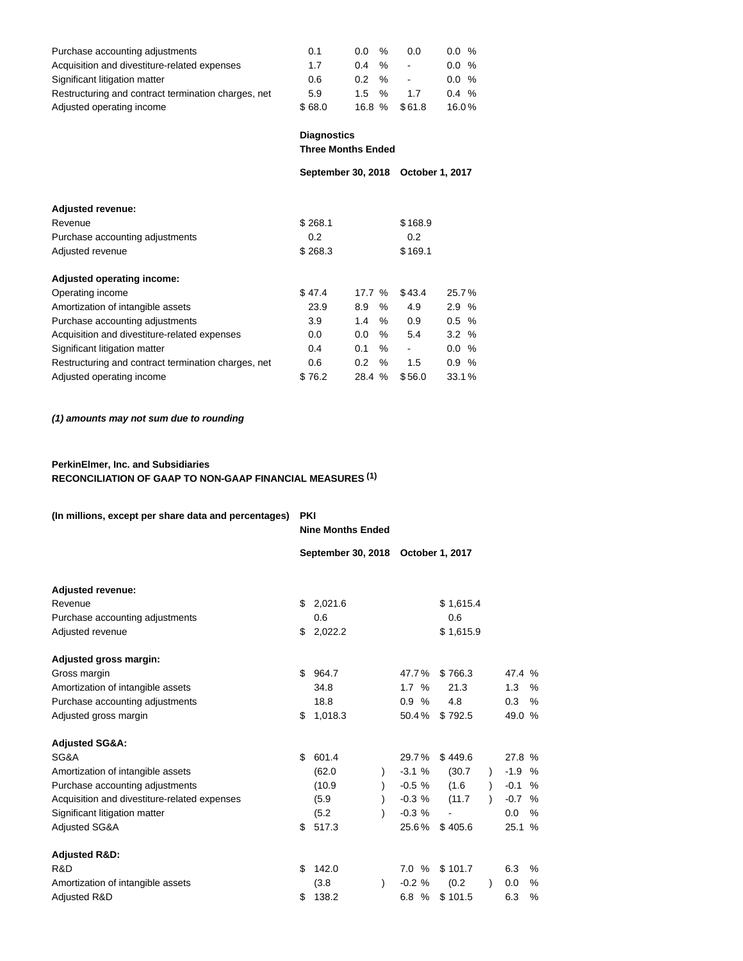| Purchase accounting adjustments                     | 0.1    | 0.0   | %             | 0.0    | $0.0\%$ |
|-----------------------------------------------------|--------|-------|---------------|--------|---------|
| Acquisition and divestiture-related expenses        | 1.7    | 0.4   | $\frac{0}{6}$ |        | 0.0%    |
| Significant litigation matter                       | 0.6    | 0.2   | $\frac{1}{2}$ |        | 0.0%    |
| Restructuring and contract termination charges, net | 5.9    | 1.5   | $\frac{0}{0}$ | 17     | $0.4\%$ |
| Adjusted operating income                           | \$68.0 | 16.8% |               | \$61.8 | 16.0%   |

**Diagnostics**

**Three Months Ended**

|                                                     | September 30, 2018 |               |      | October 1, 2017              |         |  |
|-----------------------------------------------------|--------------------|---------------|------|------------------------------|---------|--|
|                                                     |                    |               |      |                              |         |  |
| <b>Adjusted revenue:</b>                            |                    |               |      |                              |         |  |
| Revenue                                             | \$268.1            |               |      | \$168.9                      |         |  |
| Purchase accounting adjustments                     | 0.2                |               |      | 0.2                          |         |  |
| Adjusted revenue                                    | \$268.3            |               |      | \$169.1                      |         |  |
|                                                     |                    |               |      |                              |         |  |
| Adjusted operating income:                          |                    |               |      |                              |         |  |
| Operating income                                    | \$47.4             | 17.7%         |      | \$43.4                       | 25.7%   |  |
| Amortization of intangible assets                   | 23.9               | 8.9           | $\%$ | 4.9                          | 2.9%    |  |
| Purchase accounting adjustments                     | 3.9                | 1.4           | $\%$ | 0.9                          | $0.5\%$ |  |
| Acquisition and divestiture-related expenses        | 0.0                | 0.0           | %    | 5.4                          | 3.2%    |  |
| Significant litigation matter                       | 0.4                | 0.1           | $\%$ | $\qquad \qquad \blacksquare$ | $0.0\%$ |  |
| Restructuring and contract termination charges, net | 0.6                | $0.2^{\circ}$ | $\%$ | 1.5                          | 0.9%    |  |
| Adjusted operating income                           | \$76.2             | 28.4 %        |      | \$56.0                       | 33.1%   |  |
|                                                     |                    |               |      |                              |         |  |

# **(1) amounts may not sum due to rounding**

# **PerkinElmer, Inc. and Subsidiaries RECONCILIATION OF GAAP TO NON-GAAP FINANCIAL MEASURES (1)**

| (In millions, except per share data and percentages) | <b>PKI</b> | <b>Nine Months Ended</b>            |           |           |           |  |         |   |
|------------------------------------------------------|------------|-------------------------------------|-----------|-----------|-----------|--|---------|---|
|                                                      |            | September 30, 2018  October 1, 2017 |           |           |           |  |         |   |
| <b>Adjusted revenue:</b>                             |            |                                     |           |           |           |  |         |   |
| Revenue                                              | \$         | 2,021.6                             |           |           | \$1,615.4 |  |         |   |
| Purchase accounting adjustments                      |            | 0.6                                 |           |           | 0.6       |  |         |   |
| Adjusted revenue                                     | \$         | 2,022.2                             |           |           | \$1,615.9 |  |         |   |
| Adjusted gross margin:                               |            |                                     |           |           |           |  |         |   |
| Gross margin                                         | \$         | 964.7                               |           | 47.7%     | \$766.3   |  | 47.4 %  |   |
| Amortization of intangible assets                    |            | 34.8                                |           | 1.7%      | 21.3      |  | 1.3     | % |
| Purchase accounting adjustments                      |            | 18.8                                |           | 0.9%      | 4.8       |  | 0.3     | % |
| Adjusted gross margin                                | \$         | 1,018.3                             |           | 50.4%     | \$792.5   |  | 49.0 %  |   |
| <b>Adjusted SG&amp;A:</b>                            |            |                                     |           |           |           |  |         |   |
| SG&A                                                 | \$         | 601.4                               |           | 29.7%     | \$449.6   |  | 27.8 %  |   |
| Amortization of intangible assets                    |            | (62.0)                              |           | $-3.1%$   | (30.7)    |  | $-1.9%$ |   |
| Purchase accounting adjustments                      |            | (10.9)                              |           | $-0.5 \%$ | (1.6)     |  | $-0.1%$ |   |
| Acquisition and divestiture-related expenses         |            | (5.9)                               |           | $-0.3%$   | (11.7)    |  | $-0.7%$ |   |
| Significant litigation matter                        |            | (5.2)                               |           | $-0.3%$   |           |  | 0.0     | % |
| <b>Adjusted SG&amp;A</b>                             | \$         | 517.3                               |           | 25.6%     | \$405.6   |  | 25.1 %  |   |
| <b>Adjusted R&amp;D:</b>                             |            |                                     |           |           |           |  |         |   |
| R&D                                                  | \$         | 142.0                               |           | 7.0%      | \$101.7   |  | 6.3     | % |
| Amortization of intangible assets                    |            | (3.8)                               | $\lambda$ | $-0.2%$   | (0.2)     |  | 0.0     | % |
| Adjusted R&D                                         | \$         | 138.2                               |           | 6.8%      | \$101.5   |  | 6.3     | % |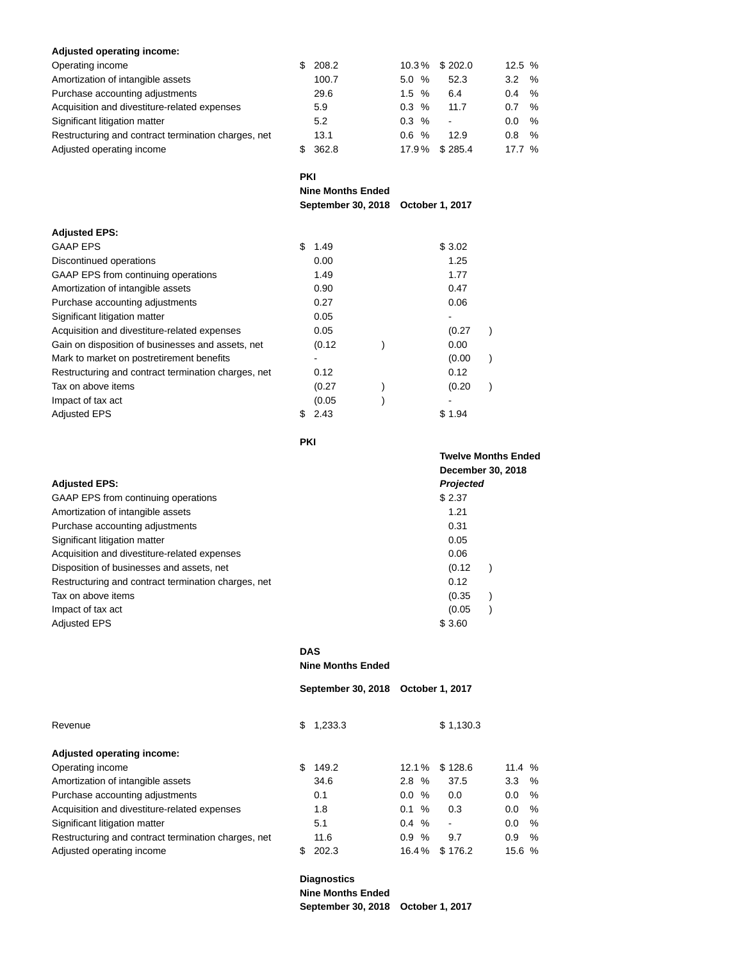## **Adjusted operating income:**

| Operating income                                    | 208.2 |                   | 10.3% \$202.0            | 12.5% |                |
|-----------------------------------------------------|-------|-------------------|--------------------------|-------|----------------|
| Amortization of intangible assets                   | 100.7 | 5.0%              | 52.3                     | 3.2   | $\%$           |
| Purchase accounting adjustments                     | 29.6  | $1.5 \frac{9}{6}$ | 6.4                      | 0.4   | $\%$           |
| Acquisition and divestiture-related expenses        | 5.9   | $0.3 \, %$        | 11.7                     | 0.7   | $\frac{6}{10}$ |
| Significant litigation matter                       | 5.2   | $0.3 \, %$        | $\overline{\phantom{a}}$ | 0.0   | $\frac{1}{2}$  |
| Restructuring and contract termination charges, net | 13.1  | %<br>0.6          | 12.9                     | 0.8   | $\frac{1}{2}$  |
| Adjusted operating income                           | 362.8 | 17.9%             | \$285.4                  | 17.7% |                |

**PKI**

**Nine Months Ended**

**September 30, 2018 October 1, 2017**

| <b>Adjusted EPS:</b>                                |            |        |  |
|-----------------------------------------------------|------------|--------|--|
| <b>GAAP EPS</b>                                     | \$<br>1.49 | \$3.02 |  |
| Discontinued operations                             | 0.00       | 1.25   |  |
| GAAP EPS from continuing operations                 | 1.49       | 1.77   |  |
| Amortization of intangible assets                   | 0.90       | 0.47   |  |
| Purchase accounting adjustments                     | 0.27       | 0.06   |  |
| Significant litigation matter                       | 0.05       |        |  |
| Acquisition and divestiture-related expenses        | 0.05       | (0.27) |  |
| Gain on disposition of businesses and assets, net   | (0.12)     | 0.00   |  |
| Mark to market on postretirement benefits           |            | (0.00) |  |
| Restructuring and contract termination charges, net | 0.12       | 0.12   |  |
| Tax on above items                                  | (0.27)     | (0.20) |  |
| Impact of tax act                                   | (0.05)     |        |  |
| <b>Adjusted EPS</b>                                 | 2.43       | \$1.94 |  |
|                                                     |            |        |  |

**PKI**

|                                                     | December 30, 2018 |
|-----------------------------------------------------|-------------------|
| <b>Adjusted EPS:</b>                                | Projected         |
| GAAP EPS from continuing operations                 | \$2.37            |
| Amortization of intangible assets                   | 1.21              |
| Purchase accounting adjustments                     | 0.31              |
| Significant litigation matter                       | 0.05              |
| Acquisition and divestiture-related expenses        | 0.06              |
| Disposition of businesses and assets, net           | (0.12)            |
| Restructuring and contract termination charges, net | 0.12              |
| Tax on above items                                  | (0.35)            |
| Impact of tax act                                   | (0.05)            |
| <b>Adjusted EPS</b>                                 | \$3.60            |

**DAS**

**Nine Months Ended**

**September 30, 2018 October 1, 2017**

**Twelve Months Ended**

| Revenue                                             | S | 1,233.3 |             | \$1,130.3                |         |      |
|-----------------------------------------------------|---|---------|-------------|--------------------------|---------|------|
| Adjusted operating income:                          |   |         |             |                          |         |      |
| Operating income                                    |   | 149.2   | 12.1%       | \$128.6                  | 11.4 %  |      |
| Amortization of intangible assets                   |   | 34.6    | %<br>2.8    | 37.5                     | $3.3\%$ |      |
| Purchase accounting adjustments                     |   | 0.1     | %<br>0.0    | 0.0                      | 0.0     | %    |
| Acquisition and divestiture-related expenses        |   | 1.8     | 0.1<br>$\%$ | 0.3                      | 0.0     | %    |
| Significant litigation matter                       |   | 5.1     | $0.4\%$     | $\overline{\phantom{a}}$ | 0.0     | $\%$ |
| Restructuring and contract termination charges, net |   | 11.6    | 0.9<br>%    | 9.7                      | 0.9     | $\%$ |
| Adjusted operating income                           |   | 202.3   | 16.4%       | \$176.2                  | 15.6 %  |      |

**Diagnostics Nine Months Ended September 30, 2018 October 1, 2017**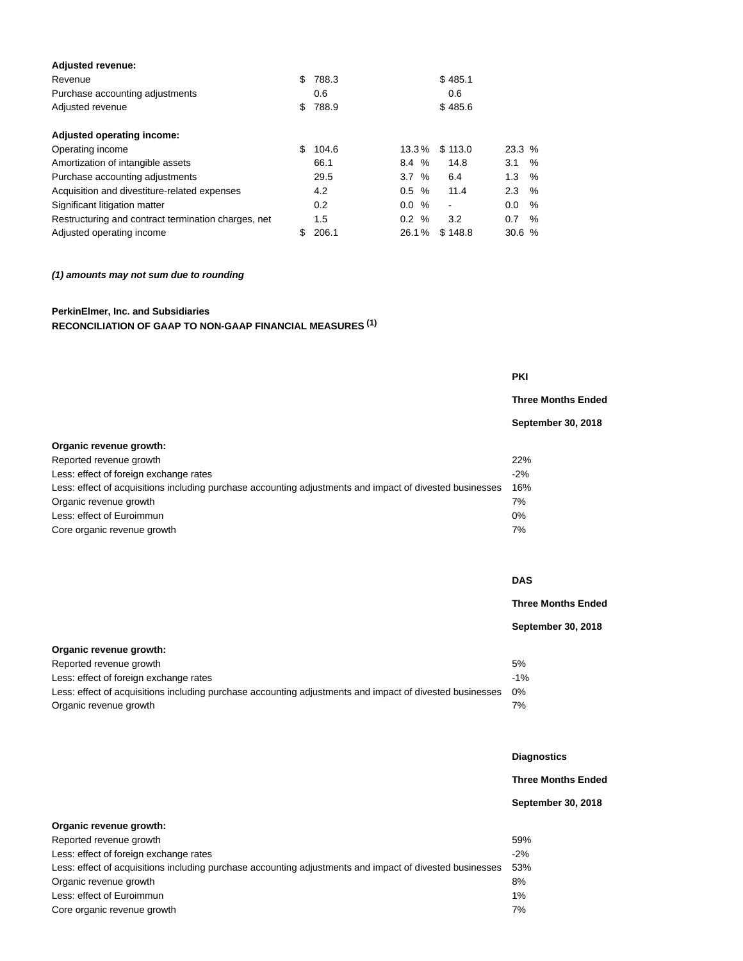| <b>Adjusted revenue:</b>                            |    |       |          |   |         |       |   |
|-----------------------------------------------------|----|-------|----------|---|---------|-------|---|
| Revenue                                             | \$ | 788.3 |          |   | \$485.1 |       |   |
| Purchase accounting adjustments                     |    | 0.6   |          |   | 0.6     |       |   |
| Adjusted revenue                                    | \$ | 788.9 |          |   | \$485.6 |       |   |
| Adjusted operating income:                          |    |       |          |   |         |       |   |
| Operating income                                    | \$ | 104.6 | $13.3\%$ |   | \$113.0 | 23.3% |   |
| Amortization of intangible assets                   |    | 66.1  | 8.4 %    |   | 14.8    | 3.1   | % |
| Purchase accounting adjustments                     |    | 29.5  | 3.7%     |   | 6.4     | 1.3   | % |
| Acquisition and divestiture-related expenses        |    | 4.2   | 0.5      | % | 11.4    | 2.3   | % |
| Significant litigation matter                       |    | 0.2   | $0.0 \%$ |   | ۰       | 0.0   | % |
| Restructuring and contract termination charges, net |    | 1.5   | 0.2 %    |   | 3.2     | 0.7   | % |
| Adjusted operating income                           | S  | 206.1 | 26.1%    |   | \$148.8 | 30.6% |   |
|                                                     |    |       |          |   |         |       |   |

# **(1) amounts may not sum due to rounding**

# **PerkinElmer, Inc. and Subsidiaries RECONCILIATION OF GAAP TO NON-GAAP FINANCIAL MEASURES (1)**

**Three Months Ended**

**September 30, 2018**

| Organic revenue growth:                                                                                  |        |
|----------------------------------------------------------------------------------------------------------|--------|
| Reported revenue growth                                                                                  | 22%    |
| Less: effect of foreign exchange rates                                                                   | $-2\%$ |
| Less: effect of acquisitions including purchase accounting adjustments and impact of divested businesses | 16%    |
| Organic revenue growth                                                                                   | 7%     |
| Less: effect of Euroimmun                                                                                | $0\%$  |
| Core organic revenue growth                                                                              | 7%     |

|                                                                                                          | <b>DAS</b>                |
|----------------------------------------------------------------------------------------------------------|---------------------------|
|                                                                                                          | <b>Three Months Ended</b> |
|                                                                                                          | September 30, 2018        |
| Organic revenue growth:                                                                                  |                           |
| Reported revenue growth                                                                                  | 5%                        |
| Less: effect of foreign exchange rates                                                                   | $-1%$                     |
| Less: effect of acquisitions including purchase accounting adjustments and impact of divested businesses | 0%                        |
| Organic revenue growth                                                                                   | 7%                        |

| <b>Diagnostics</b> |  |
|--------------------|--|

**Three Months Ended**

# **September 30, 2018**

| Organic revenue growth:                                                                                  |       |
|----------------------------------------------------------------------------------------------------------|-------|
| Reported revenue growth                                                                                  | 59%   |
| Less: effect of foreign exchange rates                                                                   | $-2%$ |
| Less: effect of acquisitions including purchase accounting adjustments and impact of divested businesses | 53%   |
| Organic revenue growth                                                                                   | 8%    |
| Less: effect of Euroimmun                                                                                | $1\%$ |
| Core organic revenue growth                                                                              | 7%    |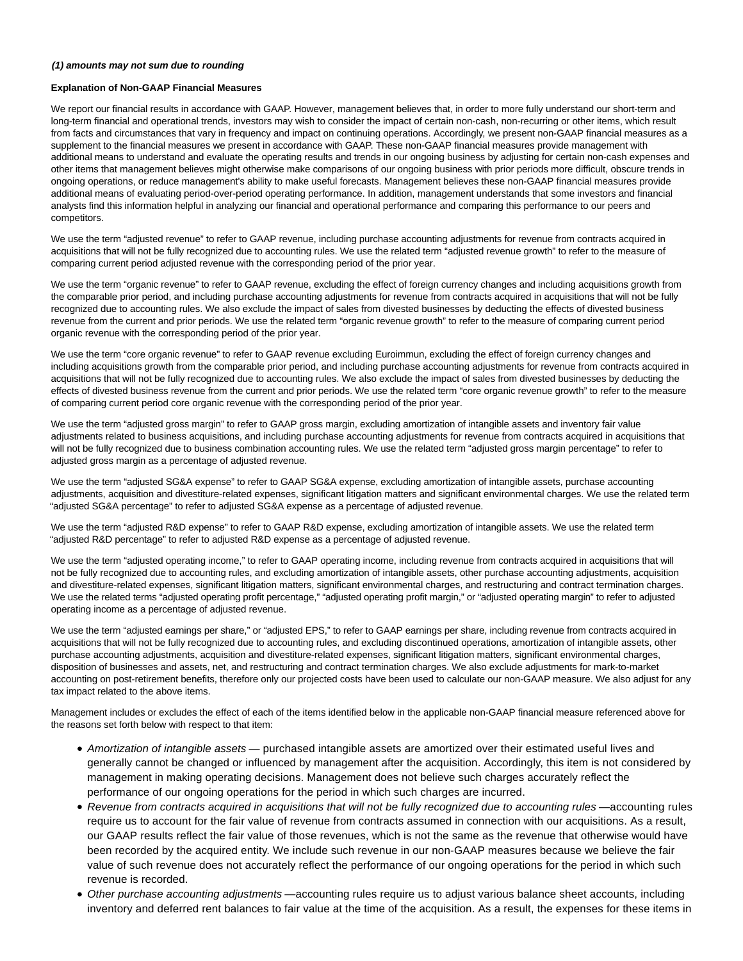#### **(1) amounts may not sum due to rounding**

## **Explanation of Non-GAAP Financial Measures**

We report our financial results in accordance with GAAP. However, management believes that, in order to more fully understand our short-term and long-term financial and operational trends, investors may wish to consider the impact of certain non-cash, non-recurring or other items, which result from facts and circumstances that vary in frequency and impact on continuing operations. Accordingly, we present non-GAAP financial measures as a supplement to the financial measures we present in accordance with GAAP. These non-GAAP financial measures provide management with additional means to understand and evaluate the operating results and trends in our ongoing business by adjusting for certain non-cash expenses and other items that management believes might otherwise make comparisons of our ongoing business with prior periods more difficult, obscure trends in ongoing operations, or reduce management's ability to make useful forecasts. Management believes these non-GAAP financial measures provide additional means of evaluating period-over-period operating performance. In addition, management understands that some investors and financial analysts find this information helpful in analyzing our financial and operational performance and comparing this performance to our peers and competitors.

We use the term "adjusted revenue" to refer to GAAP revenue, including purchase accounting adjustments for revenue from contracts acquired in acquisitions that will not be fully recognized due to accounting rules. We use the related term "adjusted revenue growth" to refer to the measure of comparing current period adjusted revenue with the corresponding period of the prior year.

We use the term "organic revenue" to refer to GAAP revenue, excluding the effect of foreign currency changes and including acquisitions growth from the comparable prior period, and including purchase accounting adjustments for revenue from contracts acquired in acquisitions that will not be fully recognized due to accounting rules. We also exclude the impact of sales from divested businesses by deducting the effects of divested business revenue from the current and prior periods. We use the related term "organic revenue growth" to refer to the measure of comparing current period organic revenue with the corresponding period of the prior year.

We use the term "core organic revenue" to refer to GAAP revenue excluding Euroimmun, excluding the effect of foreign currency changes and including acquisitions growth from the comparable prior period, and including purchase accounting adjustments for revenue from contracts acquired in acquisitions that will not be fully recognized due to accounting rules. We also exclude the impact of sales from divested businesses by deducting the effects of divested business revenue from the current and prior periods. We use the related term "core organic revenue growth" to refer to the measure of comparing current period core organic revenue with the corresponding period of the prior year.

We use the term "adjusted gross margin" to refer to GAAP gross margin, excluding amortization of intangible assets and inventory fair value adjustments related to business acquisitions, and including purchase accounting adjustments for revenue from contracts acquired in acquisitions that will not be fully recognized due to business combination accounting rules. We use the related term "adjusted gross margin percentage" to refer to adjusted gross margin as a percentage of adjusted revenue.

We use the term "adjusted SG&A expense" to refer to GAAP SG&A expense, excluding amortization of intangible assets, purchase accounting adjustments, acquisition and divestiture-related expenses, significant litigation matters and significant environmental charges. We use the related term "adjusted SG&A percentage" to refer to adjusted SG&A expense as a percentage of adjusted revenue.

We use the term "adjusted R&D expense" to refer to GAAP R&D expense, excluding amortization of intangible assets. We use the related term "adjusted R&D percentage" to refer to adjusted R&D expense as a percentage of adjusted revenue.

We use the term "adjusted operating income," to refer to GAAP operating income, including revenue from contracts acquired in acquisitions that will not be fully recognized due to accounting rules, and excluding amortization of intangible assets, other purchase accounting adjustments, acquisition and divestiture-related expenses, significant litigation matters, significant environmental charges, and restructuring and contract termination charges. We use the related terms "adjusted operating profit percentage," "adjusted operating profit margin," or "adjusted operating margin" to refer to adjusted operating income as a percentage of adjusted revenue.

We use the term "adjusted earnings per share," or "adjusted EPS," to refer to GAAP earnings per share, including revenue from contracts acquired in acquisitions that will not be fully recognized due to accounting rules, and excluding discontinued operations, amortization of intangible assets, other purchase accounting adjustments, acquisition and divestiture-related expenses, significant litigation matters, significant environmental charges, disposition of businesses and assets, net, and restructuring and contract termination charges. We also exclude adjustments for mark-to-market accounting on post-retirement benefits, therefore only our projected costs have been used to calculate our non-GAAP measure. We also adjust for any tax impact related to the above items.

Management includes or excludes the effect of each of the items identified below in the applicable non-GAAP financial measure referenced above for the reasons set forth below with respect to that item:

- Amortization of intangible assets purchased intangible assets are amortized over their estimated useful lives and generally cannot be changed or influenced by management after the acquisition. Accordingly, this item is not considered by management in making operating decisions. Management does not believe such charges accurately reflect the performance of our ongoing operations for the period in which such charges are incurred.
- Revenue from contracts acquired in acquisitions that will not be fully recognized due to accounting rules —accounting rules require us to account for the fair value of revenue from contracts assumed in connection with our acquisitions. As a result, our GAAP results reflect the fair value of those revenues, which is not the same as the revenue that otherwise would have been recorded by the acquired entity. We include such revenue in our non-GAAP measures because we believe the fair value of such revenue does not accurately reflect the performance of our ongoing operations for the period in which such revenue is recorded.
- Other purchase accounting adjustments —accounting rules require us to adjust various balance sheet accounts, including inventory and deferred rent balances to fair value at the time of the acquisition. As a result, the expenses for these items in